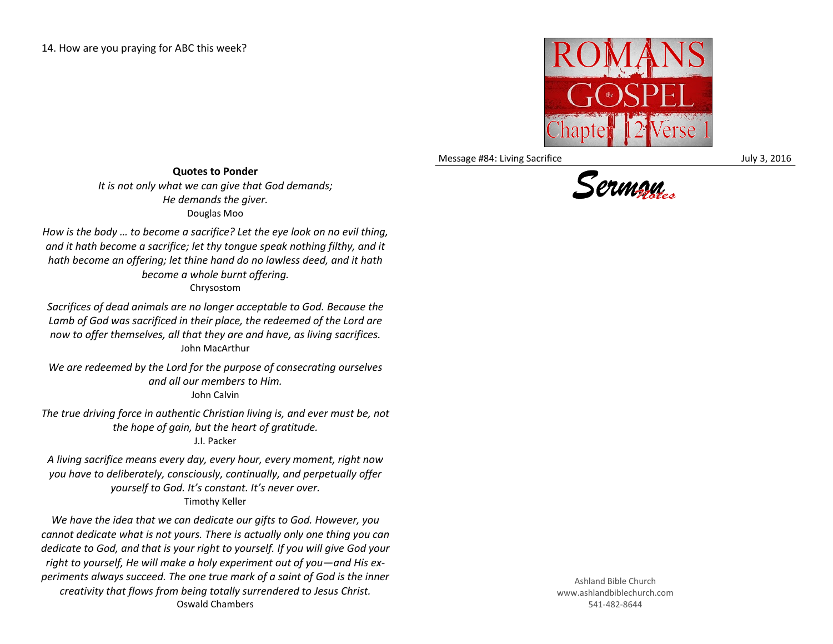

Message #84: Living Sacrifice July 3, 2016



*How is the body … to become a sacrifice? Let the eye look on no evil thing, and it hath become a sacrifice; let thy tongue speak nothing filthy, and it hath become an offering; let thine hand do no lawless deed, and it hath become a whole burnt offering.* Chrysostom

*Sacrifices of dead animals are no longer acceptable to God. Because the Lamb of God was sacrificed in their place, the redeemed of the Lord are now to offer themselves, all that they are and have, as living sacrifices.* John MacArthur

*We are redeemed by the Lord for the purpose of consecrating ourselves and all our members to Him.* John Calvin

*The true driving force in authentic Christian living is, and ever must be, not the hope of gain, but the heart of gratitude.*

J.I. Packer

*A living sacrifice means every day, every hour, every moment, right now you have to deliberately, consciously, continually, and perpetually offer yourself to God. It's constant. It's never over.* Timothy Keller

*We have the idea that we can dedicate our gifts to God. However, you cannot dedicate what is not yours. There is actually only one thing you can dedicate to God, and that is your right to yourself. If you will give God your right to yourself, He will make a holy experiment out of you—and His experiments always succeed. The one true mark of a saint of God is the inner creativity that flows from being totally surrendered to Jesus Christ.* Oswald Chambers

Ashland Bible Church www.ashlandbiblechurch.com 541-482-8644